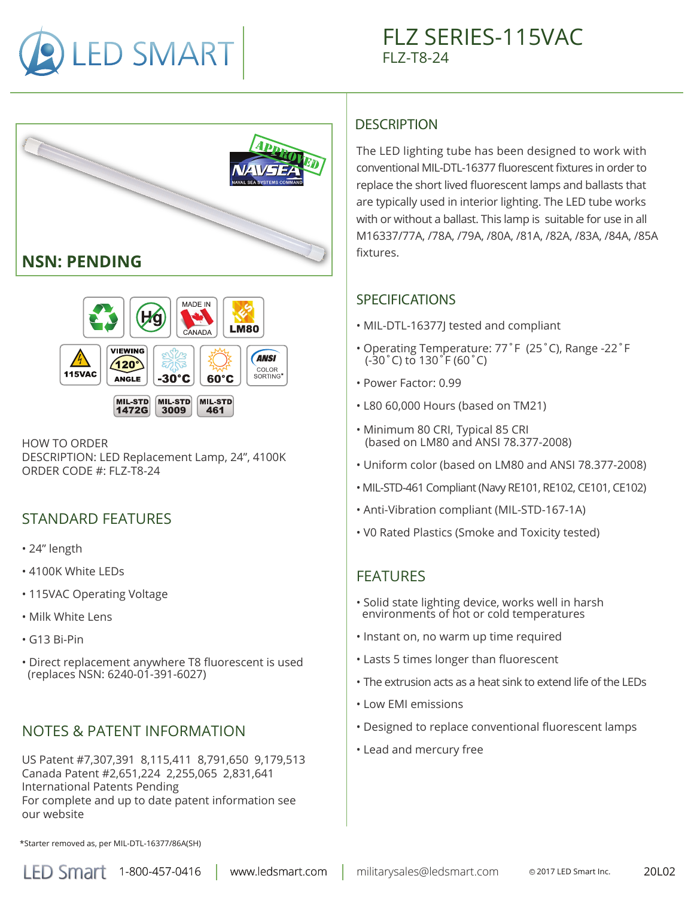





HOW TO ORDER DESCRIPTION: LED Replacement Lamp, 24", 4100K ORDER CODE #: FLZ-T8-24

## STANDARD FEATURES

- 24" length
- 4100K White LEDs
- 115VAC Operating Voltage
- Milk White Lens
- G13 Bi-Pin
- Direct replacement anywhere T8 fluorescent is used (replaces NSN: 6240-01-391-6027)

# NOTES & PATENT INFORMATION

US Patent #7,307,391 8,115,411 8,791,650 9,179,513 Canada Patent #2,651,224 2,255,065 2,831,641 International Patents Pending For complete and up to date patent information see our website

# **DESCRIPTION**

The LED lighting tube has been designed to work with conventional MIL-DTL-16377 fluorescent fixtures in order to replace the short lived fluorescent lamps and ballasts that are typically used in interior lighting. The LED tube works with or without a ballast. This lamp is suitable for use in all M16337/77A, /78A, /79A, /80A, /81A, /82A, /83A, /84A, /85A fixtures.

#### SPECIFICATIONS

- MIL-DTL-16377J tested and compliant
- Operating Temperature: 77˚F (25˚C), Range -22˚F (-30˚C) to 130˚F (60˚C)
- Power Factor: 0.99
- L80 60,000 Hours (based on TM21)
- Minimum 80 CRI, Typical 85 CRI (based on LM80 and ANSI 78.377-2008)
- Uniform color (based on LM80 and ANSI 78.377-2008)
- MIL-STD-461 Compliant (Navy RE101, RE102, CE101, CE102)
- Anti-Vibration compliant (MIL-STD-167-1A)
- V0 Rated Plastics (Smoke and Toxicity tested)

## FEATURES

- Solid state lighting device, works well in harsh environments of hot or cold temperatures
- Instant on, no warm up time required
- Lasts 5 times longer than fluorescent
- The extrusion acts as a heat sink to extend life of the LEDs
- Low EMI emissions
- Designed to replace conventional fluorescent lamps
- Lead and mercury free

\*Starter removed as, per MIL-DTL-16377/86A(SH)